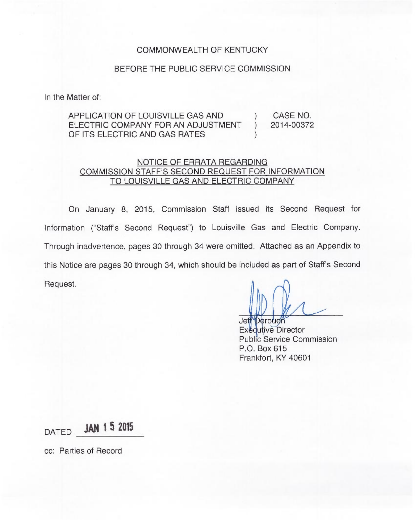#### COMMONWEALTH OF KENTUCKY

#### BEFORE THE PUBLIC SERVICE COMMISSION

In the Matter of:

### APPLICATION OF LOUISVILLE GAS AND (CASE NO.<br>ELECTRIC COMPANY FOR AN ADJUSTMENT ) 2014-00372 ELECTRIC COMPANY FOR AN ADJUSTMENT OF ITS ELECTRIC AND GAS RATES

### NOTICE OF ERRATA REGARDING COMMISSION STAFF'S SECOND REQUEST FOR INFORMATION TO LOUISVILLE GAS AND ELECTRIC COMPANY

On January 8, 2015, Commission Staff issued its Second Request for Information ("Staff's Second Request") to Louisville Gas and Electric Company Through inadvertence, pages 30 through 34 were omitted. Attached as an Appendix to this Notice are pages 30 through 34, which should be included as part of Staff's Second Request.

Jeff<sup>\*pero</sup> Exequtive Directo Public Service Commission P.O. Box 615 Frankfort, KY 40601

DATED **JAN 1 5 2015** 

cc: Parties of Record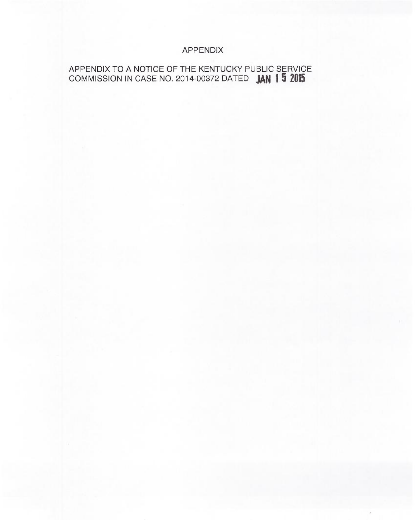# APPENDIX

## APPENDIX TO A NOTICE OF THE KENTUCKY PUBLIC SERVICE COMMISSION IN CASE NO. 2014-00372 DATED **JAN 1 5 2015**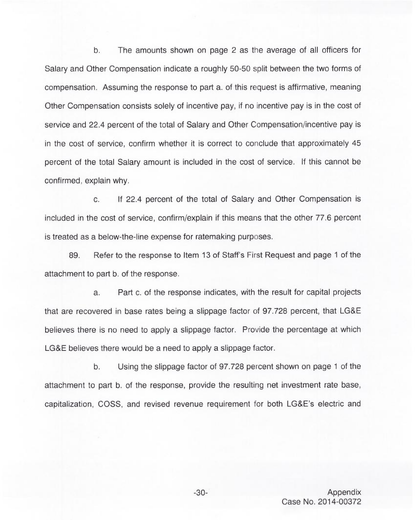b. The amounts shown on page 2 as the average of all officers for Salary and Other Compensation indicate a roughly 50-50 split between the two forms of compensation. Assuming the response to part a. of this request is affirmative, meaning Other Compensation consists solely of incentive pay, if no incentive pay is in the cost of service and 22.4 percent of the total of Salary and Other Compensation/incentive pay is in the cost of service, confirm whether it is correct to conclude that approximately 45 percent of the total Salary amount is included in the cost of service. If this cannot be confirmed, explain why.

c. If 22.4 percent of the total of Salary and Other Compensation is included in the cost of service, confirm/explain if this means that the other 77.6 percent is treated as a below-the-line expense for ratemaking purposes.

89. Refer to the response to Item 13 of Staff's First Request and page <sup>1</sup> of the attachment to part b. of the response.

a. Part c. of the response indicates, with the result for capital projects that are recovered in base rates being a slippage factor of 97.728 percent, that LG&E believes there is no need to apply a slippage factor. Provide the percentage at which LG&E believes there would be a need to apply a slippage factor.

b. Using the slippage factor of 97.728 percent shown on page <sup>1</sup> of the attachment to part b. of the response, provide the resulting net investment rate base, capitalization, COSS, and revised revenue requirement for both LG&E's electric and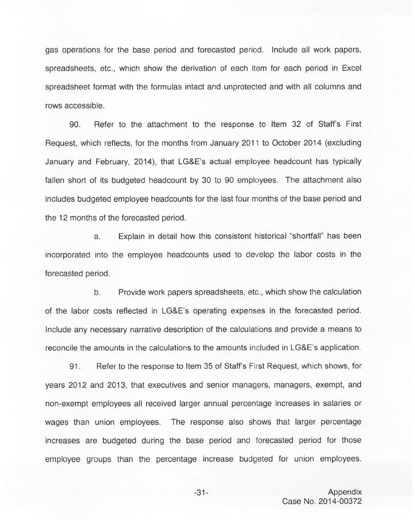gas operations for the base period and forecasted period. Include all work papers, spreadsheets, etc., which show the derivation of each item for each period in Excel spreadsheet format with the formulas intact and unprotected and with all columns and rows accessible.

90. Refer to the attachment to the response to Item 32 of Staff's First Request, which reflects, for the months from January 2011 to October 2014 (excluding January and February, 2014), that LG&E's actual employee headcount has typically fallen short of its budgeted headcount by 30 to 90 employees. The attachment also includes budgeted employee headcounts for the last four months of the base period and the 12 months of the forecasted period.

a. Explain in detail how this consistent historical "shorffall" has been incorporated into the employee headcounts used to develop the labor costs in the forecasted period.

b. Provide work papers spreadsheets, etc., which show the calculation of the labor costs reflected in LG&E's operating expenses in the forecasted period. Include any necessary narrative description of the calculations and provide a means to reconcile the amounts in the calculations to the amounts included in LG&E's application.

91. Refer to the response to Item 35 of Staff's First Request, which shows, for years 2012 and 2013, that executives and senior managers, managers, exempt, and non-exempt employees all received larger annual percentage increases in salaries or wages than union employees. The response also shows that larger percentage increases are budgeted during the base period and forecasted period for those employee groups than the percentage increase budgeted for union employees.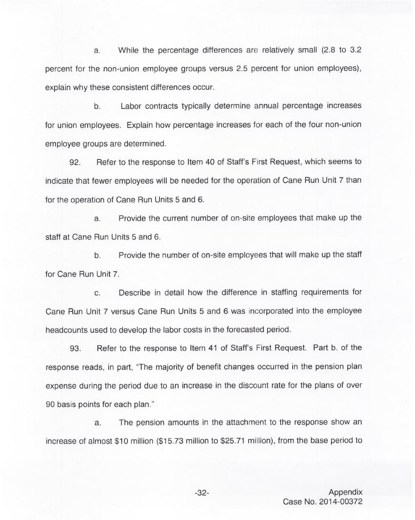a. While the percentage differences are relatively small (2.8 to 3.2 percent for the non-union employee groups versus 2.5 percent for union employees), explain why these consistent differences occur.

 $b<sub>1</sub>$ Labor contracts typically determine annual percentage increases for union employees. Explain how percentage increases for each of the four non-union employee groups are determined.

92. Refer to the response to Item 40 of Staff's First Request, which seems to indicate that fewer employees will be needed for the operation of Cane Run Unit 7 than for the operation of Cane Run Units 5 and 6.

a. Provide the current number of on-site employees that make up the staff at Cane Run Units 5 and 6.

b. Provide the number of on-site employees that will make up the staff for Cane Run Unit 7.

c. Describe in detail how the difference in staffing requirements for Cane Run Unit 7 versus Cane Run Units 5 and 6 was incorporated into the employee headcounts used to develop the labor costs in the forecasted period.

93. Refer to the response to Item 41 of Staff's First Request. Part b. of the response reads, in part, "The majority of benefit changes occurred in the pension plan expense during the period due to an increase in the discount rate for the plans of over 90 basis points for each plan."

a. The pension amounts in the attachment to the response show an increase of almost \$10 million (\$15.73 million to \$25.71 million), from the base period to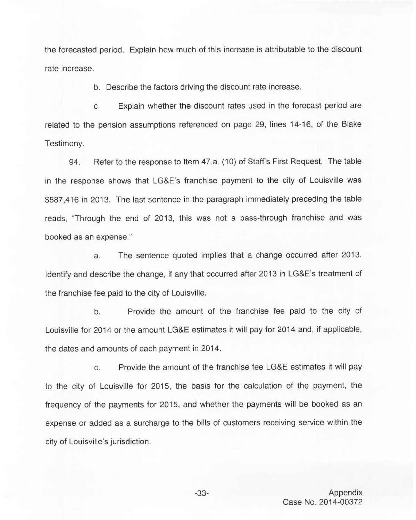the forecasted period. Explain how much of this increase is attributable to the discount rate increase.

b. Describe the factors driving the discount rate increase.

c. Explain whether the discount rates used in the forecast period are related to the pension assumptions referenced on page 29, lines 14-16, of the Blake Testimony.

94. Refer to the response to Item 47.a. (10) of Staff's First Request. The table in the response shows that LG&E's franchise payment to the city of Louisville was \$587,416 in 2013. The last sentence in the paragraph immediately preceding the table reads, "Through the end of 2013, this was not a pass-through franchise and was booked as an expense."

a. The sentence quoted implies that a change occurred after 2013. Identify and describe the change, if any that occurred after 2013 in LG&E's treatment of the franchise fee paid to the city of Louisville.

Provide the amount of the franchise fee paid to the city of  $b.$ Louisville for 2014 or the amount LG&E estimates it will pay for 2014 and, if applicable, the dates and amounts of each payment in 2014.

c. Provide the amount of the franchise fee LG&E estimates it will pay to the city of Louisville for 2015, the basis for the calculation of the payment, the frequency of the payments for 2015, and whether the payments will be booked as an expense or added as a surcharge to the bills of customers receiving service within the city of Louisville's jurisdiction.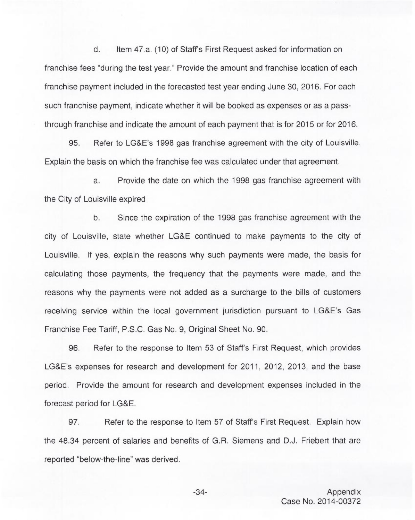d. Item 47.a. (10) of Staff's First Request asked for information on franchise fees "during the test year." Provide the amount and franchise location of each franchise payment included in the forecasted test year ending June 30, 2016. For each such franchise payment, indicate whether it will be booked as expenses or as a passthrough franchise and indicate the amount of each payment that is for 2015 or for 2016.

95. Refer to LG&E's 1998 gas franchise agreement with the city of Louisville. Explain the basis on which the franchise fee was calculated under that agreement.

a. Provide the date on which the 1998 gas franchise agreement with the City of Louisville expired

b. Since the expiration of the 1998 gas franchise agreement with the city of Louisville, state whether LG&E continued to make payments to the city of Louisville. If yes, explain the reasons why such payments were made, the basis for calculating those payments, the frequency that the payments were made, and the reasons why the payments were not added as a surcharge to the bills of customers receiving service within the local government jurisdiction pursuant to LG&E's Gas Franchise Fee Tariff, P.S.C.Gas No. 9, Original Sheet No. 90.

96. Refer to the response to Item 53 of Staff's First Request, which provides LG&E's expenses for research and development for 2011, 2012, 2013, and the base period. Provide the amount for research and development expenses included in the forecast period for LG&E.

97. Refer to the response to Item 57 of Staff's First Request. Explain how the 48.34 percent of salaries and benefits of G.R. Siemens and D.J. Friebert that are reported "below-the-line" was derived.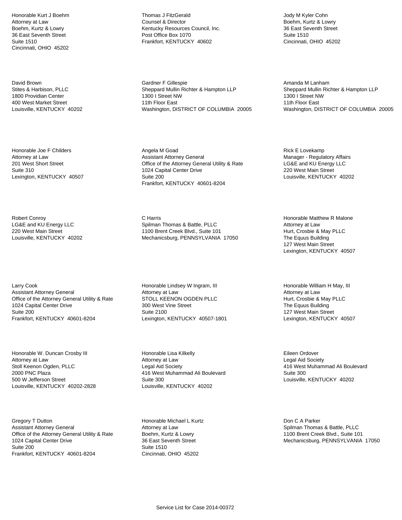Honorable Kurt J Boehm Attorney at Law Boehm, Kurtz & Lowry 36 East Seventh Street Suite 1510 Cincinnati, OHIO 45202

David Brown Stites & Harbison, PLLC 1800 Providian Center 400 West Market Street Louisville, KENTUCKY 40202

Honorable Joe F Childers Attorney at Law 201 West Short Street Suite 310 Lexington, KENTUCKY 40507

Robert Conroy LG&E and KU Energy LLC 220 West Main Street Louisville, KENTUCKY 40202

Larry Cook Assistant Attorney General Office of the Attorney General Utility & Rate 1024 Capital Center Drive Suite 200 Frankfort, KENTUCKY 40601-8204

Honorable W. Duncan Crosby III Attorney at Law Stoll Keenon Ogden, PLLC 2000 PNC Plaza 500 W Jefferson Street Louisville, KENTUCKY 40202-2828

Gregory T Dutton Assistant Attorney General Office of the Attorney General Utility & Rate 1024 Capital Center Drive Suite 200 Frankfort, KENTUCKY 40601-8204

Thomas J FitzGerald Counsel & Director Kentucky Resources Council, Inc. Post Office Box 1070 Frankfort, KENTUCKY 40602

Gardner F Gillespie Sheppard Mullin Richter & Hampton LLP 1300 I Street NW 11th Floor East Washington, DISTRICT OF COLUMBIA 20005

Angela M Goad Assistant Attorney General Office of the Attorney General Utility & Rate 1024 Capital Center Drive Suite 200 Frankfort, KENTUCKY 40601-8204

C Harris Spilman Thomas & Battle, PLLC 1100 Brent Creek Blvd., Suite 101 Mechanicsburg, PENNSYLVANIA 17050

Honorable Lindsey W Ingram, III Attorney at Law STOLL KEENON OGDEN PLLC 300 West Vine Street Suite 2100 Lexington, KENTUCKY 40507-1801

Honorable Lisa Kilkelly Attorney at Law Legal Aid Society 416 West Muhammad Ali Boulevard Suite 300 Louisville, KENTUCKY 40202

Honorable Michael L Kurtz Attorney at Law Boehm, Kurtz & Lowry 36 East Seventh Street Suite 1510 Cincinnati, OHIO 45202

Jody M Kyler Cohn Boehm, Kurtz & Lowry 36 East Seventh Street Suite 1510 Cincinnati, OHIO 45202

Amanda M Lanham Sheppard Mullin Richter & Hampton LLP 1300 I Street NW 11th Floor East Washington, DISTRICT OF COLUMBIA 20005

Rick E Lovekamp Manager - Regulatory Affairs LG&E and KU Energy LLC 220 West Main Street Louisville, KENTUCKY 40202

Honorable Matthew R Malone Attorney at Law Hurt, Crosbie & May PLLC The Equus Building 127 West Main Street Lexington, KENTUCKY 40507

Honorable William H May, III Attorney at Law Hurt, Crosbie & May PLLC The Equus Building 127 West Main Street Lexington, KENTUCKY 40507

Eileen Ordover Legal Aid Society 416 West Muhammad Ali Boulevard Suite 300 Louisville, KENTUCKY 40202

Don C A Parker Spilman Thomas & Battle, PLLC 1100 Brent Creek Blvd., Suite 101 Mechanicsburg, PENNSYLVANIA 17050